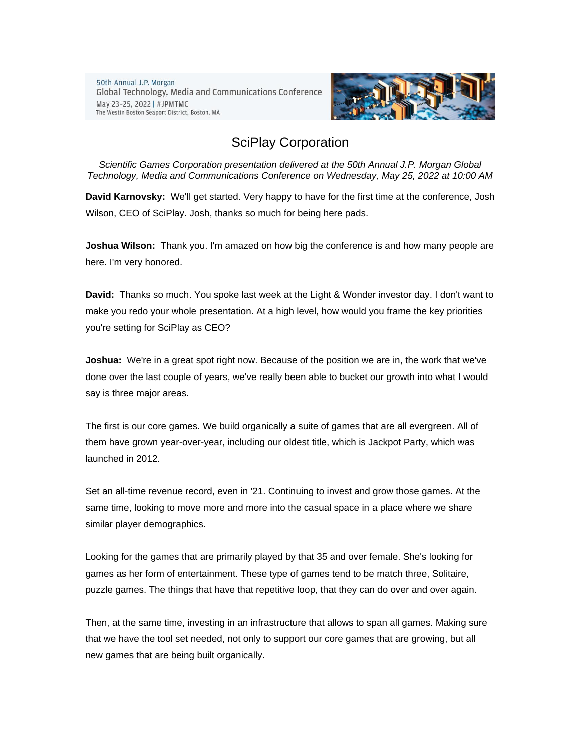50th Annual J.P. Morgan Global Technology, Media and Communications Conference May 23-25, 2022 | #JPMTMC The Westin Boston Seaport District, Boston, MA



## SciPlay Corporation

*Scientific Games Corporation presentation delivered at the 50th Annual J.P. Morgan Global Technology, Media and Communications Conference on Wednesday, May 25, 2022 at 10:00 AM*

**David Karnovsky:** We'll get started. Very happy to have for the first time at the conference, Josh Wilson, CEO of SciPlay. Josh, thanks so much for being here pads.

**Joshua Wilson:** Thank you. I'm amazed on how big the conference is and how many people are here. I'm very honored.

**David:** Thanks so much. You spoke last week at the Light & Wonder investor day. I don't want to make you redo your whole presentation. At a high level, how would you frame the key priorities you're setting for SciPlay as CEO?

**Joshua:** We're in a great spot right now. Because of the position we are in, the work that we've done over the last couple of years, we've really been able to bucket our growth into what I would say is three major areas.

The first is our core games. We build organically a suite of games that are all evergreen. All of them have grown year-over-year, including our oldest title, which is Jackpot Party, which was launched in 2012.

Set an all-time revenue record, even in '21. Continuing to invest and grow those games. At the same time, looking to move more and more into the casual space in a place where we share similar player demographics.

Looking for the games that are primarily played by that 35 and over female. She's looking for games as her form of entertainment. These type of games tend to be match three, Solitaire, puzzle games. The things that have that repetitive loop, that they can do over and over again.

Then, at the same time, investing in an infrastructure that allows to span all games. Making sure that we have the tool set needed, not only to support our core games that are growing, but all new games that are being built organically.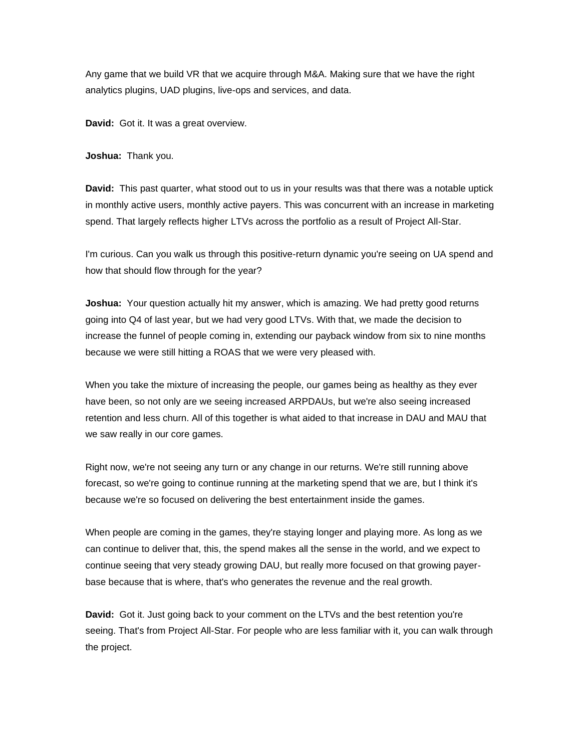Any game that we build VR that we acquire through M&A. Making sure that we have the right analytics plugins, UAD plugins, live-ops and services, and data.

**David:** Got it. It was a great overview.

**Joshua:** Thank you.

**David:** This past quarter, what stood out to us in your results was that there was a notable uptick in monthly active users, monthly active payers. This was concurrent with an increase in marketing spend. That largely reflects higher LTVs across the portfolio as a result of Project All-Star.

I'm curious. Can you walk us through this positive-return dynamic you're seeing on UA spend and how that should flow through for the year?

**Joshua:** Your question actually hit my answer, which is amazing. We had pretty good returns going into Q4 of last year, but we had very good LTVs. With that, we made the decision to increase the funnel of people coming in, extending our payback window from six to nine months because we were still hitting a ROAS that we were very pleased with.

When you take the mixture of increasing the people, our games being as healthy as they ever have been, so not only are we seeing increased ARPDAUs, but we're also seeing increased retention and less churn. All of this together is what aided to that increase in DAU and MAU that we saw really in our core games.

Right now, we're not seeing any turn or any change in our returns. We're still running above forecast, so we're going to continue running at the marketing spend that we are, but I think it's because we're so focused on delivering the best entertainment inside the games.

When people are coming in the games, they're staying longer and playing more. As long as we can continue to deliver that, this, the spend makes all the sense in the world, and we expect to continue seeing that very steady growing DAU, but really more focused on that growing payerbase because that is where, that's who generates the revenue and the real growth.

**David:** Got it. Just going back to your comment on the LTVs and the best retention you're seeing. That's from Project All-Star. For people who are less familiar with it, you can walk through the project.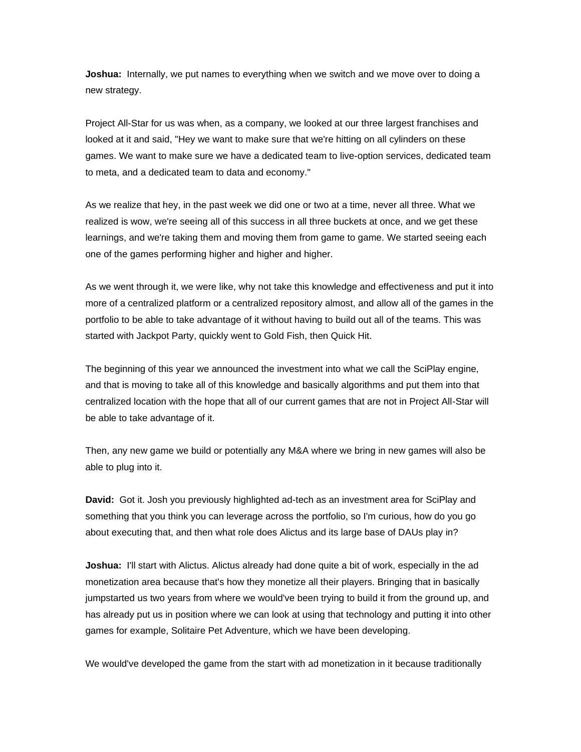**Joshua:** Internally, we put names to everything when we switch and we move over to doing a new strategy.

Project All-Star for us was when, as a company, we looked at our three largest franchises and looked at it and said, "Hey we want to make sure that we're hitting on all cylinders on these games. We want to make sure we have a dedicated team to live-option services, dedicated team to meta, and a dedicated team to data and economy."

As we realize that hey, in the past week we did one or two at a time, never all three. What we realized is wow, we're seeing all of this success in all three buckets at once, and we get these learnings, and we're taking them and moving them from game to game. We started seeing each one of the games performing higher and higher and higher.

As we went through it, we were like, why not take this knowledge and effectiveness and put it into more of a centralized platform or a centralized repository almost, and allow all of the games in the portfolio to be able to take advantage of it without having to build out all of the teams. This was started with Jackpot Party, quickly went to Gold Fish, then Quick Hit.

The beginning of this year we announced the investment into what we call the SciPlay engine, and that is moving to take all of this knowledge and basically algorithms and put them into that centralized location with the hope that all of our current games that are not in Project All-Star will be able to take advantage of it.

Then, any new game we build or potentially any M&A where we bring in new games will also be able to plug into it.

**David:** Got it. Josh you previously highlighted ad-tech as an investment area for SciPlay and something that you think you can leverage across the portfolio, so I'm curious, how do you go about executing that, and then what role does Alictus and its large base of DAUs play in?

**Joshua:** I'll start with Alictus. Alictus already had done quite a bit of work, especially in the ad monetization area because that's how they monetize all their players. Bringing that in basically jumpstarted us two years from where we would've been trying to build it from the ground up, and has already put us in position where we can look at using that technology and putting it into other games for example, Solitaire Pet Adventure, which we have been developing.

We would've developed the game from the start with ad monetization in it because traditionally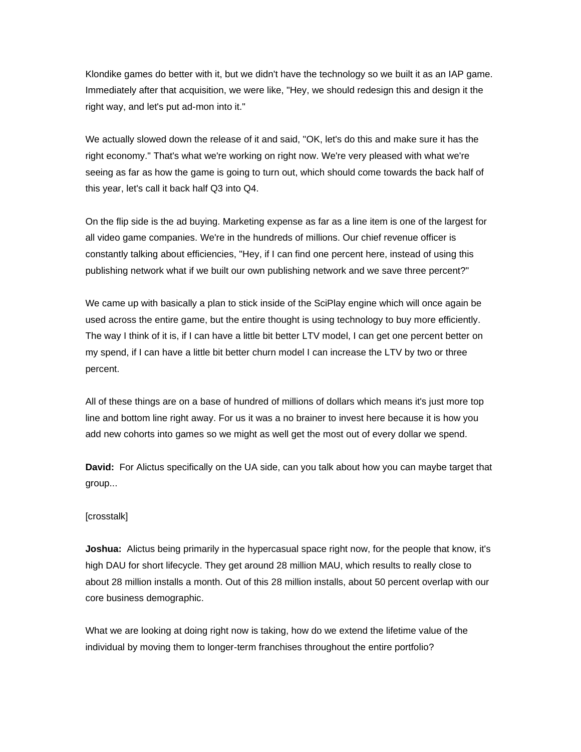Klondike games do better with it, but we didn't have the technology so we built it as an IAP game. Immediately after that acquisition, we were like, "Hey, we should redesign this and design it the right way, and let's put ad-mon into it."

We actually slowed down the release of it and said, "OK, let's do this and make sure it has the right economy." That's what we're working on right now. We're very pleased with what we're seeing as far as how the game is going to turn out, which should come towards the back half of this year, let's call it back half Q3 into Q4.

On the flip side is the ad buying. Marketing expense as far as a line item is one of the largest for all video game companies. We're in the hundreds of millions. Our chief revenue officer is constantly talking about efficiencies, "Hey, if I can find one percent here, instead of using this publishing network what if we built our own publishing network and we save three percent?"

We came up with basically a plan to stick inside of the SciPlay engine which will once again be used across the entire game, but the entire thought is using technology to buy more efficiently. The way I think of it is, if I can have a little bit better LTV model, I can get one percent better on my spend, if I can have a little bit better churn model I can increase the LTV by two or three percent.

All of these things are on a base of hundred of millions of dollars which means it's just more top line and bottom line right away. For us it was a no brainer to invest here because it is how you add new cohorts into games so we might as well get the most out of every dollar we spend.

**David:** For Alictus specifically on the UA side, can you talk about how you can maybe target that group...

## [crosstalk]

**Joshua:** Alictus being primarily in the hypercasual space right now, for the people that know, it's high DAU for short lifecycle. They get around 28 million MAU, which results to really close to about 28 million installs a month. Out of this 28 million installs, about 50 percent overlap with our core business demographic.

What we are looking at doing right now is taking, how do we extend the lifetime value of the individual by moving them to longer-term franchises throughout the entire portfolio?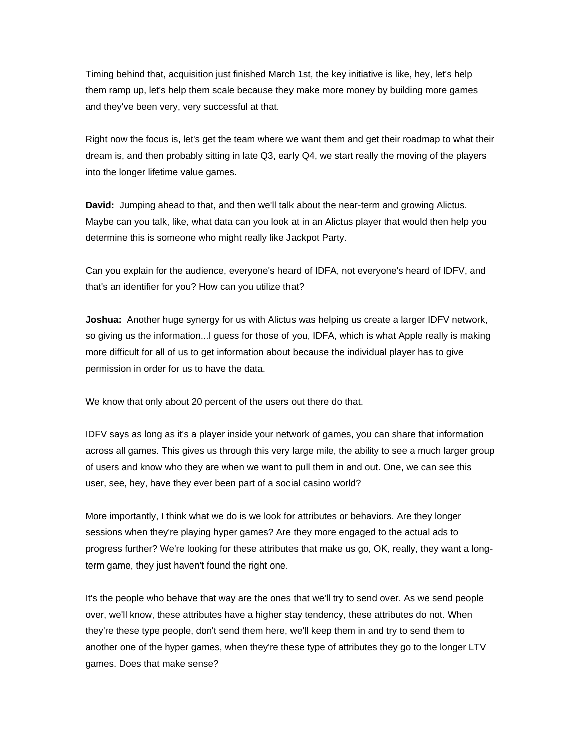Timing behind that, acquisition just finished March 1st, the key initiative is like, hey, let's help them ramp up, let's help them scale because they make more money by building more games and they've been very, very successful at that.

Right now the focus is, let's get the team where we want them and get their roadmap to what their dream is, and then probably sitting in late Q3, early Q4, we start really the moving of the players into the longer lifetime value games.

**David:** Jumping ahead to that, and then we'll talk about the near-term and growing Alictus. Maybe can you talk, like, what data can you look at in an Alictus player that would then help you determine this is someone who might really like Jackpot Party.

Can you explain for the audience, everyone's heard of IDFA, not everyone's heard of IDFV, and that's an identifier for you? How can you utilize that?

**Joshua:** Another huge synergy for us with Alictus was helping us create a larger IDFV network, so giving us the information...I guess for those of you, IDFA, which is what Apple really is making more difficult for all of us to get information about because the individual player has to give permission in order for us to have the data.

We know that only about 20 percent of the users out there do that.

IDFV says as long as it's a player inside your network of games, you can share that information across all games. This gives us through this very large mile, the ability to see a much larger group of users and know who they are when we want to pull them in and out. One, we can see this user, see, hey, have they ever been part of a social casino world?

More importantly, I think what we do is we look for attributes or behaviors. Are they longer sessions when they're playing hyper games? Are they more engaged to the actual ads to progress further? We're looking for these attributes that make us go, OK, really, they want a longterm game, they just haven't found the right one.

It's the people who behave that way are the ones that we'll try to send over. As we send people over, we'll know, these attributes have a higher stay tendency, these attributes do not. When they're these type people, don't send them here, we'll keep them in and try to send them to another one of the hyper games, when they're these type of attributes they go to the longer LTV games. Does that make sense?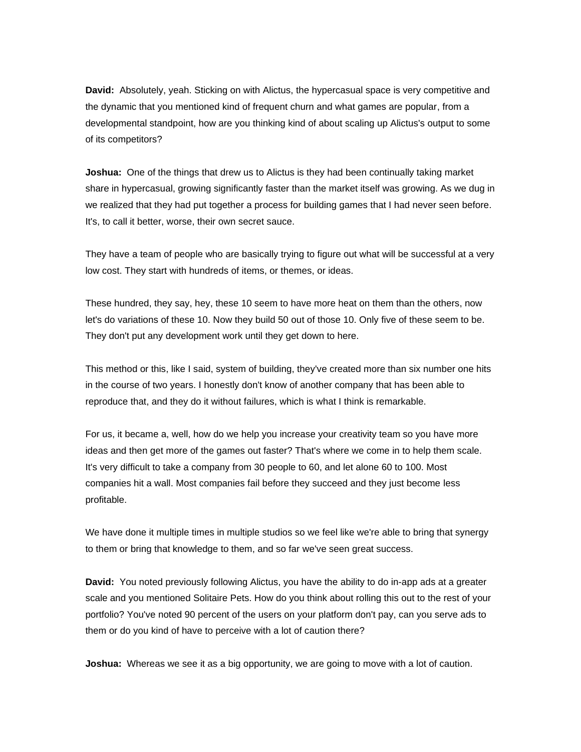**David:** Absolutely, yeah. Sticking on with Alictus, the hypercasual space is very competitive and the dynamic that you mentioned kind of frequent churn and what games are popular, from a developmental standpoint, how are you thinking kind of about scaling up Alictus's output to some of its competitors?

**Joshua:** One of the things that drew us to Alictus is they had been continually taking market share in hypercasual, growing significantly faster than the market itself was growing. As we dug in we realized that they had put together a process for building games that I had never seen before. It's, to call it better, worse, their own secret sauce.

They have a team of people who are basically trying to figure out what will be successful at a very low cost. They start with hundreds of items, or themes, or ideas.

These hundred, they say, hey, these 10 seem to have more heat on them than the others, now let's do variations of these 10. Now they build 50 out of those 10. Only five of these seem to be. They don't put any development work until they get down to here.

This method or this, like I said, system of building, they've created more than six number one hits in the course of two years. I honestly don't know of another company that has been able to reproduce that, and they do it without failures, which is what I think is remarkable.

For us, it became a, well, how do we help you increase your creativity team so you have more ideas and then get more of the games out faster? That's where we come in to help them scale. It's very difficult to take a company from 30 people to 60, and let alone 60 to 100. Most companies hit a wall. Most companies fail before they succeed and they just become less profitable.

We have done it multiple times in multiple studios so we feel like we're able to bring that synergy to them or bring that knowledge to them, and so far we've seen great success.

**David:** You noted previously following Alictus, you have the ability to do in-app ads at a greater scale and you mentioned Solitaire Pets. How do you think about rolling this out to the rest of your portfolio? You've noted 90 percent of the users on your platform don't pay, can you serve ads to them or do you kind of have to perceive with a lot of caution there?

**Joshua:** Whereas we see it as a big opportunity, we are going to move with a lot of caution.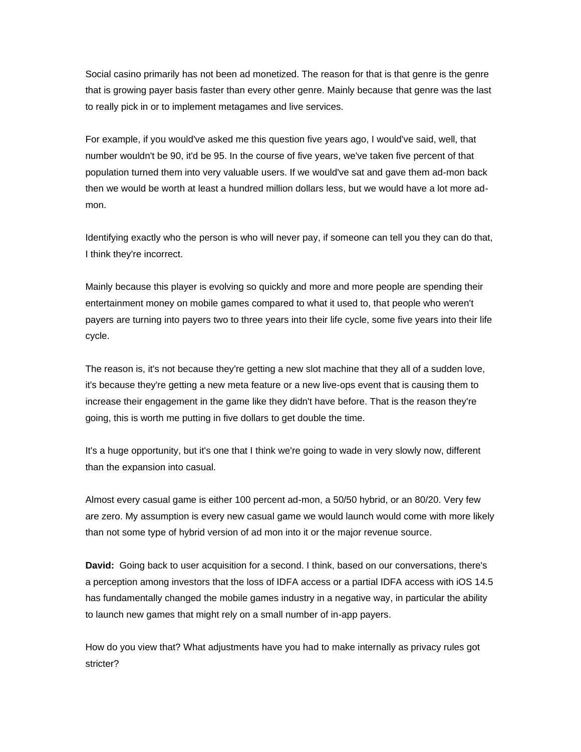Social casino primarily has not been ad monetized. The reason for that is that genre is the genre that is growing payer basis faster than every other genre. Mainly because that genre was the last to really pick in or to implement metagames and live services.

For example, if you would've asked me this question five years ago, I would've said, well, that number wouldn't be 90, it'd be 95. In the course of five years, we've taken five percent of that population turned them into very valuable users. If we would've sat and gave them ad-mon back then we would be worth at least a hundred million dollars less, but we would have a lot more admon.

Identifying exactly who the person is who will never pay, if someone can tell you they can do that, I think they're incorrect.

Mainly because this player is evolving so quickly and more and more people are spending their entertainment money on mobile games compared to what it used to, that people who weren't payers are turning into payers two to three years into their life cycle, some five years into their life cycle.

The reason is, it's not because they're getting a new slot machine that they all of a sudden love, it's because they're getting a new meta feature or a new live-ops event that is causing them to increase their engagement in the game like they didn't have before. That is the reason they're going, this is worth me putting in five dollars to get double the time.

It's a huge opportunity, but it's one that I think we're going to wade in very slowly now, different than the expansion into casual.

Almost every casual game is either 100 percent ad-mon, a 50/50 hybrid, or an 80/20. Very few are zero. My assumption is every new casual game we would launch would come with more likely than not some type of hybrid version of ad mon into it or the major revenue source.

**David:** Going back to user acquisition for a second. I think, based on our conversations, there's a perception among investors that the loss of IDFA access or a partial IDFA access with iOS 14.5 has fundamentally changed the mobile games industry in a negative way, in particular the ability to launch new games that might rely on a small number of in-app payers.

How do you view that? What adjustments have you had to make internally as privacy rules got stricter?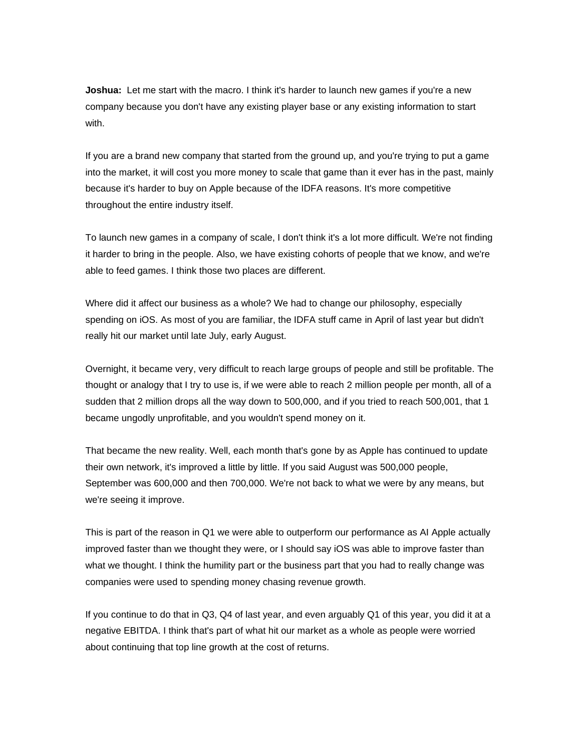**Joshua:** Let me start with the macro. I think it's harder to launch new games if you're a new company because you don't have any existing player base or any existing information to start with.

If you are a brand new company that started from the ground up, and you're trying to put a game into the market, it will cost you more money to scale that game than it ever has in the past, mainly because it's harder to buy on Apple because of the IDFA reasons. It's more competitive throughout the entire industry itself.

To launch new games in a company of scale, I don't think it's a lot more difficult. We're not finding it harder to bring in the people. Also, we have existing cohorts of people that we know, and we're able to feed games. I think those two places are different.

Where did it affect our business as a whole? We had to change our philosophy, especially spending on iOS. As most of you are familiar, the IDFA stuff came in April of last year but didn't really hit our market until late July, early August.

Overnight, it became very, very difficult to reach large groups of people and still be profitable. The thought or analogy that I try to use is, if we were able to reach 2 million people per month, all of a sudden that 2 million drops all the way down to 500,000, and if you tried to reach 500,001, that 1 became ungodly unprofitable, and you wouldn't spend money on it.

That became the new reality. Well, each month that's gone by as Apple has continued to update their own network, it's improved a little by little. If you said August was 500,000 people, September was 600,000 and then 700,000. We're not back to what we were by any means, but we're seeing it improve.

This is part of the reason in Q1 we were able to outperform our performance as AI Apple actually improved faster than we thought they were, or I should say iOS was able to improve faster than what we thought. I think the humility part or the business part that you had to really change was companies were used to spending money chasing revenue growth.

If you continue to do that in Q3, Q4 of last year, and even arguably Q1 of this year, you did it at a negative EBITDA. I think that's part of what hit our market as a whole as people were worried about continuing that top line growth at the cost of returns.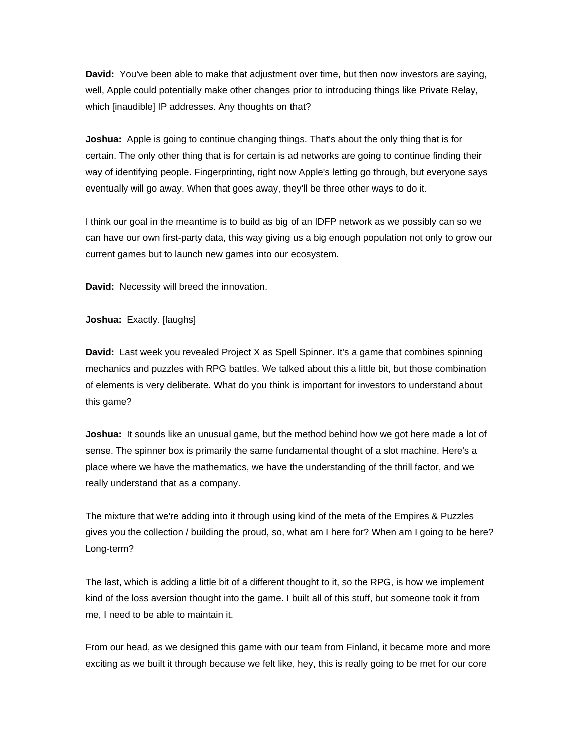**David:** You've been able to make that adjustment over time, but then now investors are saying, well, Apple could potentially make other changes prior to introducing things like Private Relay, which [inaudible] IP addresses. Any thoughts on that?

**Joshua:** Apple is going to continue changing things. That's about the only thing that is for certain. The only other thing that is for certain is ad networks are going to continue finding their way of identifying people. Fingerprinting, right now Apple's letting go through, but everyone says eventually will go away. When that goes away, they'll be three other ways to do it.

I think our goal in the meantime is to build as big of an IDFP network as we possibly can so we can have our own first-party data, this way giving us a big enough population not only to grow our current games but to launch new games into our ecosystem.

**David:** Necessity will breed the innovation.

**Joshua:** Exactly. [laughs]

**David:** Last week you revealed Project X as Spell Spinner. It's a game that combines spinning mechanics and puzzles with RPG battles. We talked about this a little bit, but those combination of elements is very deliberate. What do you think is important for investors to understand about this game?

**Joshua:** It sounds like an unusual game, but the method behind how we got here made a lot of sense. The spinner box is primarily the same fundamental thought of a slot machine. Here's a place where we have the mathematics, we have the understanding of the thrill factor, and we really understand that as a company.

The mixture that we're adding into it through using kind of the meta of the Empires & Puzzles gives you the collection / building the proud, so, what am I here for? When am I going to be here? Long-term?

The last, which is adding a little bit of a different thought to it, so the RPG, is how we implement kind of the loss aversion thought into the game. I built all of this stuff, but someone took it from me, I need to be able to maintain it.

From our head, as we designed this game with our team from Finland, it became more and more exciting as we built it through because we felt like, hey, this is really going to be met for our core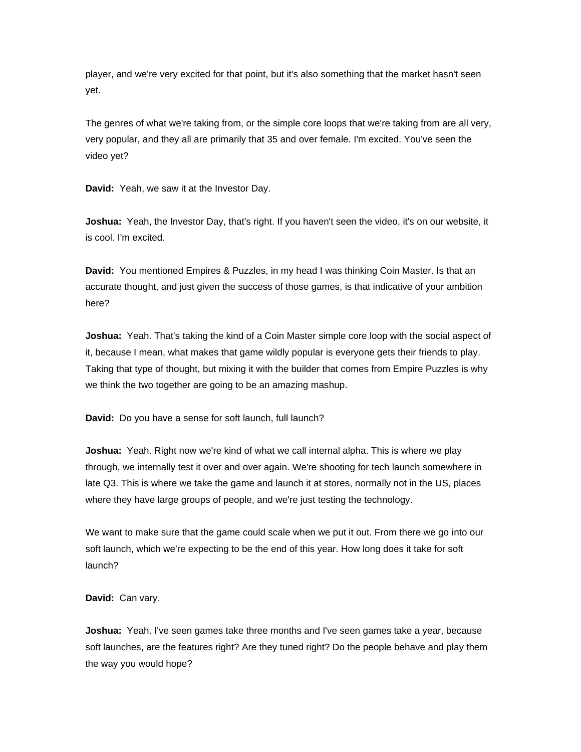player, and we're very excited for that point, but it's also something that the market hasn't seen yet.

The genres of what we're taking from, or the simple core loops that we're taking from are all very, very popular, and they all are primarily that 35 and over female. I'm excited. You've seen the video yet?

**David:** Yeah, we saw it at the Investor Day.

**Joshua:** Yeah, the Investor Day, that's right. If you haven't seen the video, it's on our website, it is cool. I'm excited.

**David:** You mentioned Empires & Puzzles, in my head I was thinking Coin Master. Is that an accurate thought, and just given the success of those games, is that indicative of your ambition here?

**Joshua:** Yeah. That's taking the kind of a Coin Master simple core loop with the social aspect of it, because I mean, what makes that game wildly popular is everyone gets their friends to play. Taking that type of thought, but mixing it with the builder that comes from Empire Puzzles is why we think the two together are going to be an amazing mashup.

**David:** Do you have a sense for soft launch, full launch?

**Joshua:** Yeah. Right now we're kind of what we call internal alpha. This is where we play through, we internally test it over and over again. We're shooting for tech launch somewhere in late Q3. This is where we take the game and launch it at stores, normally not in the US, places where they have large groups of people, and we're just testing the technology.

We want to make sure that the game could scale when we put it out. From there we go into our soft launch, which we're expecting to be the end of this year. How long does it take for soft launch?

**David:** Can vary.

**Joshua:** Yeah. I've seen games take three months and I've seen games take a year, because soft launches, are the features right? Are they tuned right? Do the people behave and play them the way you would hope?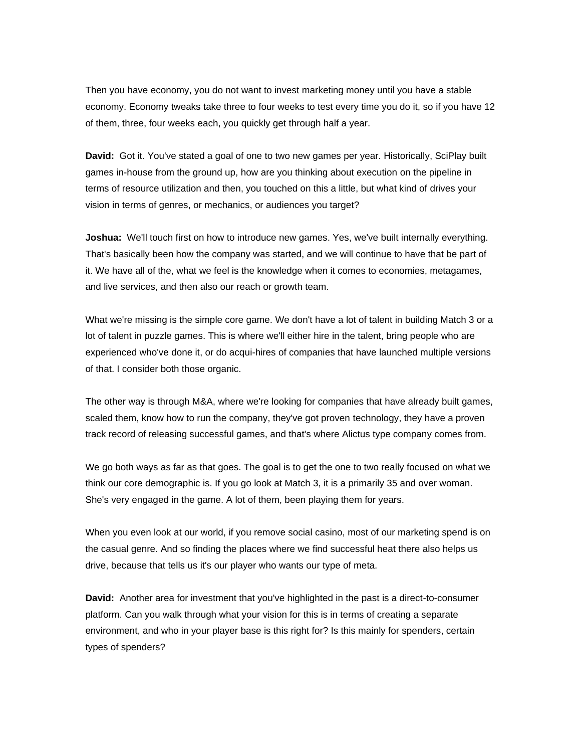Then you have economy, you do not want to invest marketing money until you have a stable economy. Economy tweaks take three to four weeks to test every time you do it, so if you have 12 of them, three, four weeks each, you quickly get through half a year.

**David:** Got it. You've stated a goal of one to two new games per year. Historically, SciPlay built games in-house from the ground up, how are you thinking about execution on the pipeline in terms of resource utilization and then, you touched on this a little, but what kind of drives your vision in terms of genres, or mechanics, or audiences you target?

**Joshua:** We'll touch first on how to introduce new games. Yes, we've built internally everything. That's basically been how the company was started, and we will continue to have that be part of it. We have all of the, what we feel is the knowledge when it comes to economies, metagames, and live services, and then also our reach or growth team.

What we're missing is the simple core game. We don't have a lot of talent in building Match 3 or a lot of talent in puzzle games. This is where we'll either hire in the talent, bring people who are experienced who've done it, or do acqui-hires of companies that have launched multiple versions of that. I consider both those organic.

The other way is through M&A, where we're looking for companies that have already built games, scaled them, know how to run the company, they've got proven technology, they have a proven track record of releasing successful games, and that's where Alictus type company comes from.

We go both ways as far as that goes. The goal is to get the one to two really focused on what we think our core demographic is. If you go look at Match 3, it is a primarily 35 and over woman. She's very engaged in the game. A lot of them, been playing them for years.

When you even look at our world, if you remove social casino, most of our marketing spend is on the casual genre. And so finding the places where we find successful heat there also helps us drive, because that tells us it's our player who wants our type of meta.

**David:** Another area for investment that you've highlighted in the past is a direct-to-consumer platform. Can you walk through what your vision for this is in terms of creating a separate environment, and who in your player base is this right for? Is this mainly for spenders, certain types of spenders?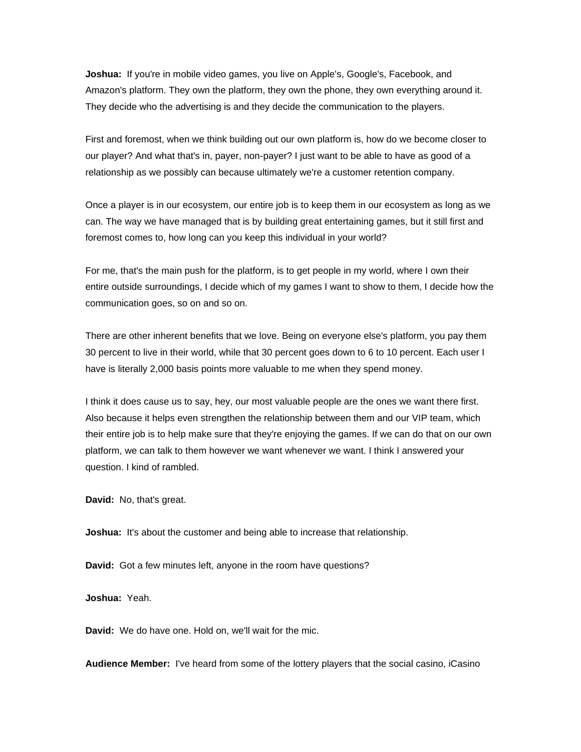**Joshua:** If you're in mobile video games, you live on Apple's, Google's, Facebook, and Amazon's platform. They own the platform, they own the phone, they own everything around it. They decide who the advertising is and they decide the communication to the players.

First and foremost, when we think building out our own platform is, how do we become closer to our player? And what that's in, payer, non-payer? I just want to be able to have as good of a relationship as we possibly can because ultimately we're a customer retention company.

Once a player is in our ecosystem, our entire job is to keep them in our ecosystem as long as we can. The way we have managed that is by building great entertaining games, but it still first and foremost comes to, how long can you keep this individual in your world?

For me, that's the main push for the platform, is to get people in my world, where I own their entire outside surroundings, I decide which of my games I want to show to them, I decide how the communication goes, so on and so on.

There are other inherent benefits that we love. Being on everyone else's platform, you pay them 30 percent to live in their world, while that 30 percent goes down to 6 to 10 percent. Each user I have is literally 2,000 basis points more valuable to me when they spend money.

I think it does cause us to say, hey, our most valuable people are the ones we want there first. Also because it helps even strengthen the relationship between them and our VIP team, which their entire job is to help make sure that they're enjoying the games. If we can do that on our own platform, we can talk to them however we want whenever we want. I think I answered your question. I kind of rambled.

**David:** No, that's great.

**Joshua:** It's about the customer and being able to increase that relationship.

**David:** Got a few minutes left, anyone in the room have questions?

**Joshua:** Yeah.

**David:** We do have one. Hold on, we'll wait for the mic.

**Audience Member:** I've heard from some of the lottery players that the social casino, iCasino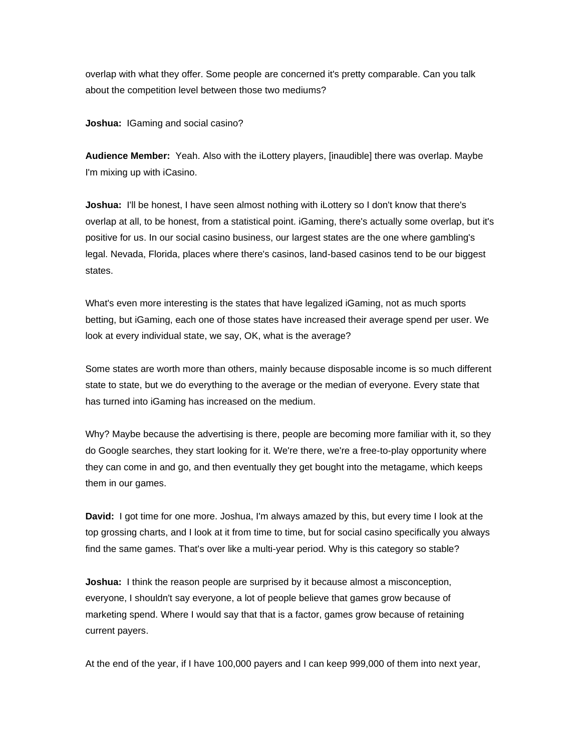overlap with what they offer. Some people are concerned it's pretty comparable. Can you talk about the competition level between those two mediums?

**Joshua:** IGaming and social casino?

**Audience Member:** Yeah. Also with the iLottery players, [inaudible] there was overlap. Maybe I'm mixing up with iCasino.

**Joshua:** I'll be honest, I have seen almost nothing with iLottery so I don't know that there's overlap at all, to be honest, from a statistical point. iGaming, there's actually some overlap, but it's positive for us. In our social casino business, our largest states are the one where gambling's legal. Nevada, Florida, places where there's casinos, land-based casinos tend to be our biggest states.

What's even more interesting is the states that have legalized iGaming, not as much sports betting, but iGaming, each one of those states have increased their average spend per user. We look at every individual state, we say, OK, what is the average?

Some states are worth more than others, mainly because disposable income is so much different state to state, but we do everything to the average or the median of everyone. Every state that has turned into iGaming has increased on the medium.

Why? Maybe because the advertising is there, people are becoming more familiar with it, so they do Google searches, they start looking for it. We're there, we're a free-to-play opportunity where they can come in and go, and then eventually they get bought into the metagame, which keeps them in our games.

**David:** I got time for one more. Joshua, I'm always amazed by this, but every time I look at the top grossing charts, and I look at it from time to time, but for social casino specifically you always find the same games. That's over like a multi-year period. Why is this category so stable?

**Joshua:** I think the reason people are surprised by it because almost a misconception, everyone, I shouldn't say everyone, a lot of people believe that games grow because of marketing spend. Where I would say that that is a factor, games grow because of retaining current payers.

At the end of the year, if I have 100,000 payers and I can keep 999,000 of them into next year,